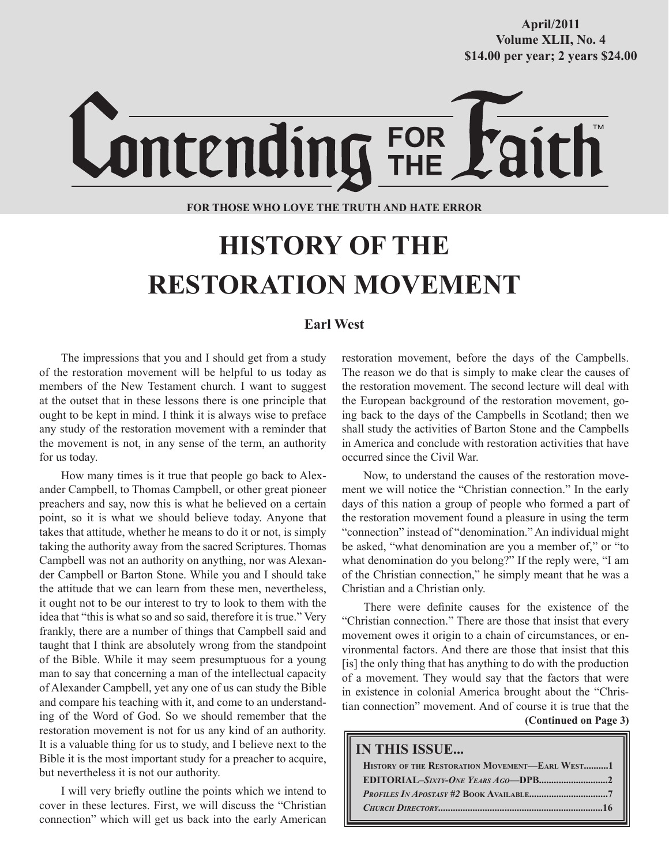# Lontending FOR

#### **FOR THOSE WHO LOVE THE TRUTH AND HATE ERROR**

# **HISTORY OF THE RESTORATION MOVEMENT**

#### **Earl West**

The impressions that you and I should get from a study of the restoration movement will be helpful to us today as members of the New Testament church. I want to suggest at the outset that in these lessons there is one principle that ought to be kept in mind. I think it is always wise to preface any study of the restoration movement with a reminder that the movement is not, in any sense of the term, an authority for us today.

How many times is it true that people go back to Alexander Campbell, to Thomas Campbell, or other great pioneer preachers and say, now this is what he believed on a certain point, so it is what we should believe today. Anyone that takes that attitude, whether he means to do it or not, is simply taking the authority away from the sacred Scriptures. Thomas Campbell was not an authority on anything, nor was Alexander Campbell or Barton Stone. While you and I should take the attitude that we can learn from these men, nevertheless, it ought not to be our interest to try to look to them with the idea that "this is what so and so said, therefore it is true." Very frankly, there are a number of things that Campbell said and taught that I think are absolutely wrong from the standpoint of the Bible. While it may seem presumptuous for a young man to say that concerning a man of the intellectual capacity of Alexander Campbell, yet any one of us can study the Bible and compare his teaching with it, and come to an understanding of the Word of God. So we should remember that the restoration movement is not for us any kind of an authority. It is a valuable thing for us to study, and I believe next to the Bible it is the most important study for a preacher to acquire, but nevertheless it is not our authority.

I will very briefly outline the points which we intend to cover in these lectures. First, we will discuss the "Christian connection" which will get us back into the early American restoration movement, before the days of the Campbells. The reason we do that is simply to make clear the causes of the restoration movement. The second lecture will deal with the European background of the restoration movement, going back to the days of the Campbells in Scotland; then we shall study the activities of Barton Stone and the Campbells in America and conclude with restoration activities that have occurred since the Civil War.

Now, to understand the causes of the restoration movement we will notice the "Christian connection." In the early days of this nation a group of people who formed a part of the restoration movement found a pleasure in using the term "connection" instead of "denomination." An individual might be asked, "what denomination are you a member of," or "to what denomination do you belong?" If the reply were, "I am of the Christian connection," he simply meant that he was a Christian and a Christian only.

**(Continued on Page 3)** There were definite causes for the existence of the "Christian connection." There are those that insist that every movement owes it origin to a chain of circumstances, or environmental factors. And there are those that insist that this [is] the only thing that has anything to do with the production of a movement. They would say that the factors that were in existence in colonial America brought about the "Christian connection" movement. And of course it is true that the

#### **IN THIS ISSUE...**

| HISTORY OF THE RESTORATION MOVEMENT-EARL WEST1 |
|------------------------------------------------|
|                                                |
|                                                |
|                                                |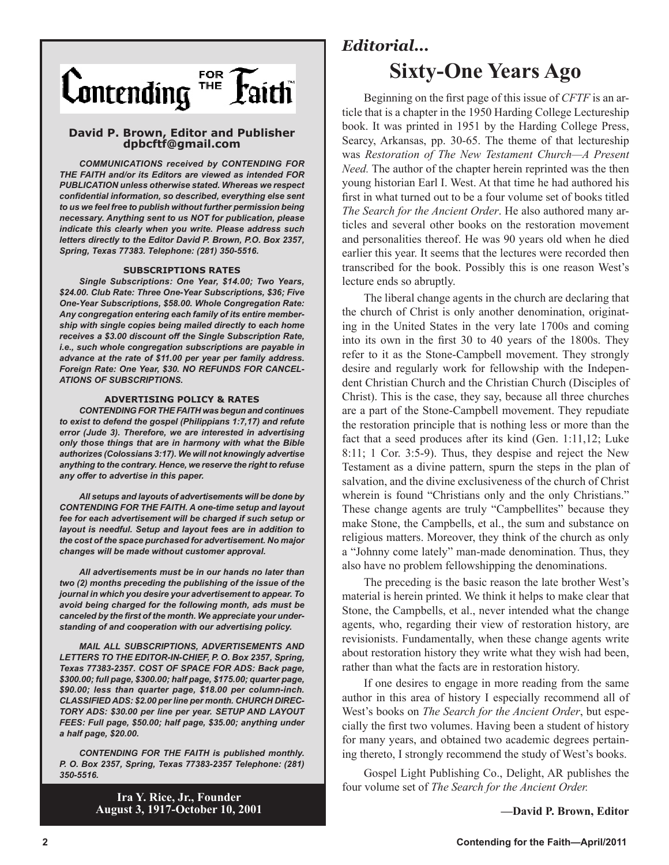

#### **David P. Brown, Editor and Publisher dpbcftf@gmail.com**

*COMMUNICATIONS received by CONTENDING FOR THE FAITH and/or its Editors are viewed as intended FOR PUBLICATION unless otherwise stated. Whereas we respect confidential information, so described, everything else sent to us we feel free to publish without further permission being necessary. Anything sent to us NOT for publication, please indicate this clearly when you write. Please address such letters directly to the Editor David P. Brown, P.O. Box 2357, Spring, Texas 77383. Telephone: (281) 350-5516.*

#### **SUBSCRIPTIONS RATES**

*Single Subscriptions: One Year, \$14.00; Two Years, \$24.00. Club Rate: Three One-Year Subscriptions, \$36; Five One-Year Subscriptions, \$58.00. Whole Congregation Rate: Any congregation entering each family of its entire membership with single copies being mailed directly to each home receives a \$3.00 discount off the Single Subscription Rate, i.e., such whole congregation subscriptions are payable in advance at the rate of \$11.00 per year per family address. Foreign Rate: One Year, \$30. NO REFUNDS FOR CANCEL-ATIONS OF SUBSCRIPTIONS.*

#### **ADVERTISING POLICY & RATES**

*CONTENDING FOR THE FAITH was begun and continues to exist to defend the gospel (Philippians 1:7,17) and refute error (Jude 3). Therefore, we are interested in advertising only those things that are in harmony with what the Bible authorizes (Colossians 3:17). We will not knowingly advertise anything to the contrary. Hence, we reserve the right to refuse any offer to advertise in this paper.*

*All setups and layouts of advertisements will be done by CONTENDING FOR THE FAITH. A one-time setup and layout fee for each advertisement will be charged if such setup or layout is needful. Setup and layout fees are in addition to the cost of the space purchased for advertisement. No major changes will be made without customer approval.*

*All advertisements must be in our hands no later than two (2) months preceding the publishing of the issue of the journal in which you desire your advertisement to appear. To avoid being charged for the following month, ads must be canceled by the first of the month. We appreciate your understanding of and cooperation with our advertising policy.*

*MAIL ALL SUBSCRIPTIONS, ADVERTISEMENTS AND LETTERS TO THE EDITOR-IN-CHIEF, P. O. Box 2357, Spring, Texas 77383-2357. COST OF SPACE FOR ADS: Back page, \$300.00; full page, \$300.00; half page, \$175.00; quarter page, \$90.00; less than quarter page, \$18.00 per column-inch. CLASSIFIED ADS: \$2.00 per line per month. CHURCH DIREC-TORY ADS: \$30.00 per line per year. SETUP AND LAYOUT FEES: Full page, \$50.00; half page, \$35.00; anything under a half page, \$20.00.*

*CONTENDING FOR THE FAITH is published monthly. P. O. Box 2357, Spring, Texas 77383-2357 Telephone: (281) 350-5516.*

> **Ira Y. Rice, Jr., Founder August 3, 1917-October 10, 2001**

## *Editorial...* **Sixty-One Years Ago**

Beginning on the first page of this issue of *CFTF* is an article that is a chapter in the 1950 Harding College Lectureship book. It was printed in 1951 by the Harding College Press, Searcy, Arkansas, pp. 30-65. The theme of that lectureship was *Restoration of The New Testament Church—A Present Need.* The author of the chapter herein reprinted was the then young historian Earl I. West. At that time he had authored his first in what turned out to be a four volume set of books titled *The Search for the Ancient Order*. He also authored many articles and several other books on the restoration movement and personalities thereof. He was 90 years old when he died earlier this year. It seems that the lectures were recorded then transcribed for the book. Possibly this is one reason West's lecture ends so abruptly.

The liberal change agents in the church are declaring that the church of Christ is only another denomination, originating in the United States in the very late 1700s and coming into its own in the first 30 to 40 years of the 1800s. They refer to it as the Stone-Campbell movement. They strongly desire and regularly work for fellowship with the Independent Christian Church and the Christian Church (Disciples of Christ). This is the case, they say, because all three churches are a part of the Stone-Campbell movement. They repudiate the restoration principle that is nothing less or more than the fact that a seed produces after its kind (Gen. 1:11,12; Luke 8:11; 1 Cor. 3:5-9). Thus, they despise and reject the New Testament as a divine pattern, spurn the steps in the plan of salvation, and the divine exclusiveness of the church of Christ wherein is found "Christians only and the only Christians." These change agents are truly "Campbellites" because they make Stone, the Campbells, et al., the sum and substance on religious matters. Moreover, they think of the church as only a "Johnny come lately" man-made denomination. Thus, they also have no problem fellowshipping the denominations.

The preceding is the basic reason the late brother West's material is herein printed. We think it helps to make clear that Stone, the Campbells, et al., never intended what the change agents, who, regarding their view of restoration history, are revisionists. Fundamentally, when these change agents write about restoration history they write what they wish had been, rather than what the facts are in restoration history.

If one desires to engage in more reading from the same author in this area of history I especially recommend all of West's books on *The Search for the Ancient Order*, but especially the first two volumes. Having been a student of history for many years, and obtained two academic degrees pertaining thereto, I strongly recommend the study of West's books.

Gospel Light Publishing Co., Delight, AR publishes the four volume set of *The Search for the Ancient Order.*

**—David P. Brown, Editor**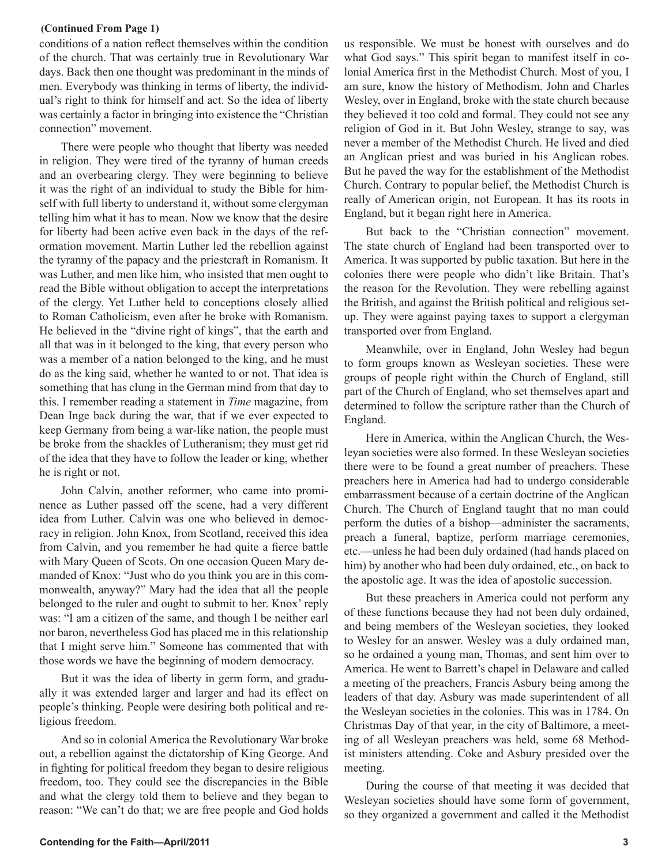#### **(Continued From Page 1)**

conditions of a nation reflect themselves within the condition of the church. That was certainly true in Revolutionary War days. Back then one thought was predominant in the minds of men. Everybody was thinking in terms of liberty, the individual's right to think for himself and act. So the idea of liberty was certainly a factor in bringing into existence the "Christian connection" movement.

There were people who thought that liberty was needed in religion. They were tired of the tyranny of human creeds and an overbearing clergy. They were beginning to believe it was the right of an individual to study the Bible for himself with full liberty to understand it, without some clergyman telling him what it has to mean. Now we know that the desire for liberty had been active even back in the days of the reformation movement. Martin Luther led the rebellion against the tyranny of the papacy and the priestcraft in Romanism. It was Luther, and men like him, who insisted that men ought to read the Bible without obligation to accept the interpretations of the clergy. Yet Luther held to conceptions closely allied to Roman Catholicism, even after he broke with Romanism. He believed in the "divine right of kings", that the earth and all that was in it belonged to the king, that every person who was a member of a nation belonged to the king, and he must do as the king said, whether he wanted to or not. That idea is something that has clung in the German mind from that day to this. I remember reading a statement in *Time* magazine, from Dean Inge back during the war, that if we ever expected to keep Germany from being a war-like nation, the people must be broke from the shackles of Lutheranism; they must get rid of the idea that they have to follow the leader or king, whether he is right or not.

John Calvin, another reformer, who came into prominence as Luther passed off the scene, had a very different idea from Luther. Calvin was one who believed in democracy in religion. John Knox, from Scotland, received this idea from Calvin, and you remember he had quite a fierce battle with Mary Queen of Scots. On one occasion Queen Mary demanded of Knox: "Just who do you think you are in this commonwealth, anyway?" Mary had the idea that all the people belonged to the ruler and ought to submit to her. Knox' reply was: "I am a citizen of the same, and though I be neither earl nor baron, nevertheless God has placed me in this relationship that I might serve him." Someone has commented that with those words we have the beginning of modern democracy.

But it was the idea of liberty in germ form, and gradually it was extended larger and larger and had its effect on people's thinking. People were desiring both political and religious freedom.

And so in colonial America the Revolutionary War broke out, a rebellion against the dictatorship of King George. And in fighting for political freedom they began to desire religious freedom, too. They could see the discrepancies in the Bible and what the clergy told them to believe and they began to reason: "We can't do that; we are free people and God holds us responsible. We must be honest with ourselves and do what God says." This spirit began to manifest itself in colonial America first in the Methodist Church. Most of you, I am sure, know the history of Methodism. John and Charles Wesley, over in England, broke with the state church because they believed it too cold and formal. They could not see any religion of God in it. But John Wesley, strange to say, was never a member of the Methodist Church. He lived and died an Anglican priest and was buried in his Anglican robes. But he paved the way for the establishment of the Methodist Church. Contrary to popular belief, the Methodist Church is really of American origin, not European. It has its roots in England, but it began right here in America.

But back to the "Christian connection" movement. The state church of England had been transported over to America. It was supported by public taxation. But here in the colonies there were people who didn't like Britain. That's the reason for the Revolution. They were rebelling against the British, and against the British political and religious setup. They were against paying taxes to support a clergyman transported over from England.

Meanwhile, over in England, John Wesley had begun to form groups known as Wesleyan societies. These were groups of people right within the Church of England, still part of the Church of England, who set themselves apart and determined to follow the scripture rather than the Church of England.

Here in America, within the Anglican Church, the Wesleyan societies were also formed. In these Wesleyan societies there were to be found a great number of preachers. These preachers here in America had had to undergo considerable embarrassment because of a certain doctrine of the Anglican Church. The Church of England taught that no man could perform the duties of a bishop—administer the sacraments, preach a funeral, baptize, perform marriage ceremonies, etc.—unless he had been duly ordained (had hands placed on him) by another who had been duly ordained, etc., on back to the apostolic age. It was the idea of apostolic succession.

But these preachers in America could not perform any of these functions because they had not been duly ordained, and being members of the Wesleyan societies, they looked to Wesley for an answer. Wesley was a duly ordained man, so he ordained a young man, Thomas, and sent him over to America. He went to Barrett's chapel in Delaware and called a meeting of the preachers, Francis Asbury being among the leaders of that day. Asbury was made superintendent of all the Wesleyan societies in the colonies. This was in 1784. On Christmas Day of that year, in the city of Baltimore, a meeting of all Wesleyan preachers was held, some 68 Methodist ministers attending. Coke and Asbury presided over the meeting.

During the course of that meeting it was decided that Wesleyan societies should have some form of government, so they organized a government and called it the Methodist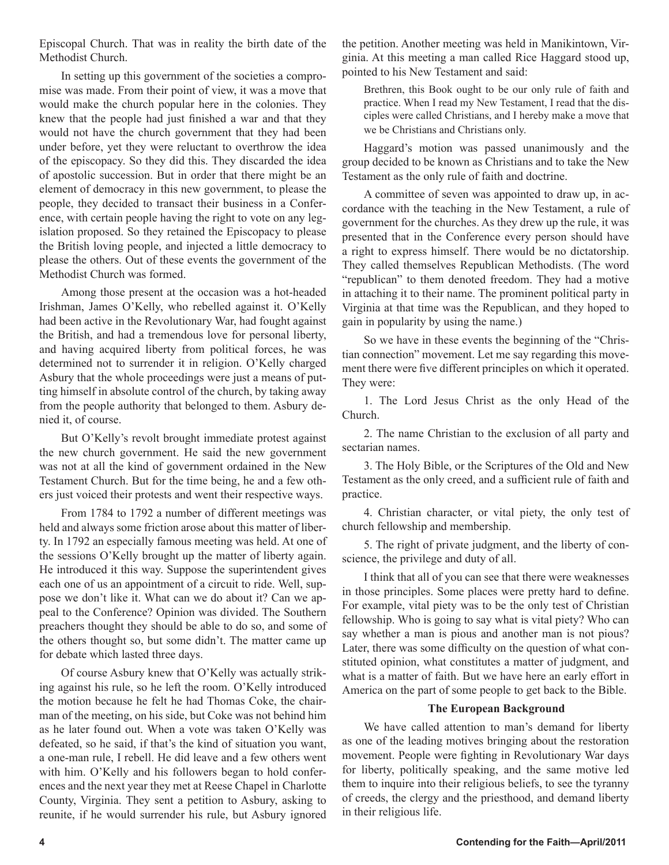Episcopal Church. That was in reality the birth date of the Methodist Church.

In setting up this government of the societies a compromise was made. From their point of view, it was a move that would make the church popular here in the colonies. They knew that the people had just finished a war and that they would not have the church government that they had been under before, yet they were reluctant to overthrow the idea of the episcopacy. So they did this. They discarded the idea of apostolic succession. But in order that there might be an element of democracy in this new government, to please the people, they decided to transact their business in a Conference, with certain people having the right to vote on any legislation proposed. So they retained the Episcopacy to please the British loving people, and injected a little democracy to please the others. Out of these events the government of the Methodist Church was formed.

Among those present at the occasion was a hot-headed Irishman, James O'Kelly, who rebelled against it. O'Kelly had been active in the Revolutionary War, had fought against the British, and had a tremendous love for personal liberty, and having acquired liberty from political forces, he was determined not to surrender it in religion. O'Kelly charged Asbury that the whole proceedings were just a means of putting himself in absolute control of the church, by taking away from the people authority that belonged to them. Asbury denied it, of course.

But O'Kelly's revolt brought immediate protest against the new church government. He said the new government was not at all the kind of government ordained in the New Testament Church. But for the time being, he and a few others just voiced their protests and went their respective ways.

From 1784 to 1792 a number of different meetings was held and always some friction arose about this matter of liberty. In 1792 an especially famous meeting was held. At one of the sessions O'Kelly brought up the matter of liberty again. He introduced it this way. Suppose the superintendent gives each one of us an appointment of a circuit to ride. Well, suppose we don't like it. What can we do about it? Can we appeal to the Conference? Opinion was divided. The Southern preachers thought they should be able to do so, and some of the others thought so, but some didn't. The matter came up for debate which lasted three days.

Of course Asbury knew that O'Kelly was actually striking against his rule, so he left the room. O'Kelly introduced the motion because he felt he had Thomas Coke, the chairman of the meeting, on his side, but Coke was not behind him as he later found out. When a vote was taken O'Kelly was defeated, so he said, if that's the kind of situation you want, a one-man rule, I rebell. He did leave and a few others went with him. O'Kelly and his followers began to hold conferences and the next year they met at Reese Chapel in Charlotte County, Virginia. They sent a petition to Asbury, asking to reunite, if he would surrender his rule, but Asbury ignored

the petition. Another meeting was held in Manikintown, Virginia. At this meeting a man called Rice Haggard stood up, pointed to his New Testament and said:

Brethren, this Book ought to be our only rule of faith and practice. When I read my New Testament, I read that the disciples were called Christians, and I hereby make a move that we be Christians and Christians only.

Haggard's motion was passed unanimously and the group decided to be known as Christians and to take the New Testament as the only rule of faith and doctrine.

A committee of seven was appointed to draw up, in accordance with the teaching in the New Testament, a rule of government for the churches. As they drew up the rule, it was presented that in the Conference every person should have a right to express himself. There would be no dictatorship. They called themselves Republican Methodists. (The word "republican" to them denoted freedom. They had a motive in attaching it to their name. The prominent political party in Virginia at that time was the Republican, and they hoped to gain in popularity by using the name.)

So we have in these events the beginning of the "Christian connection" movement. Let me say regarding this movement there were five different principles on which it operated. They were:

1. The Lord Jesus Christ as the only Head of the Church.

2. The name Christian to the exclusion of all party and sectarian names.

3. The Holy Bible, or the Scriptures of the Old and New Testament as the only creed, and a sufficient rule of faith and practice.

4. Christian character, or vital piety, the only test of church fellowship and membership.

5. The right of private judgment, and the liberty of conscience, the privilege and duty of all.

I think that all of you can see that there were weaknesses in those principles. Some places were pretty hard to define. For example, vital piety was to be the only test of Christian fellowship. Who is going to say what is vital piety? Who can say whether a man is pious and another man is not pious? Later, there was some difficulty on the question of what constituted opinion, what constitutes a matter of judgment, and what is a matter of faith. But we have here an early effort in America on the part of some people to get back to the Bible.

#### **The European Background**

We have called attention to man's demand for liberty as one of the leading motives bringing about the restoration movement. People were fighting in Revolutionary War days for liberty, politically speaking, and the same motive led them to inquire into their religious beliefs, to see the tyranny of creeds, the clergy and the priesthood, and demand liberty in their religious life.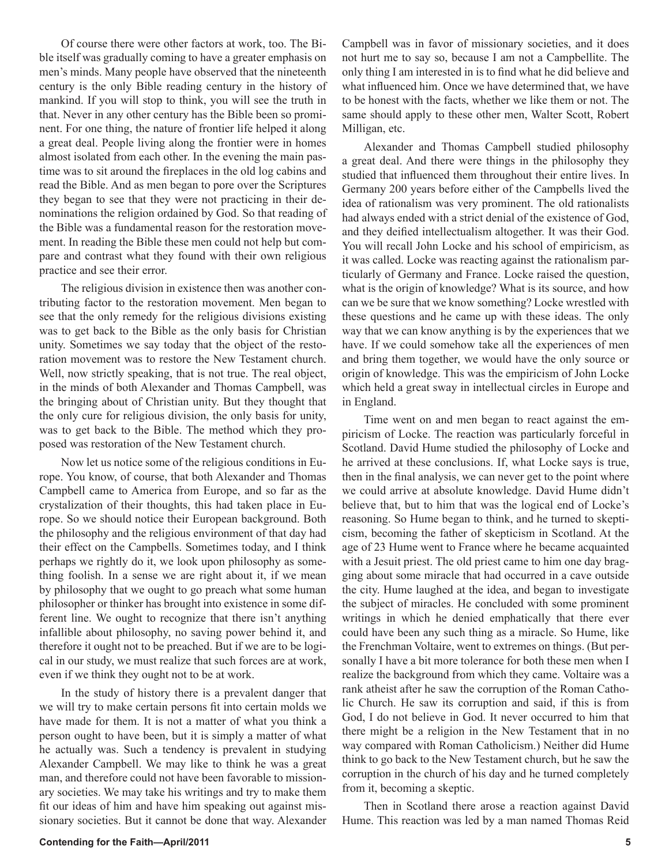Of course there were other factors at work, too. The Bible itself was gradually coming to have a greater emphasis on men's minds. Many people have observed that the nineteenth century is the only Bible reading century in the history of mankind. If you will stop to think, you will see the truth in that. Never in any other century has the Bible been so prominent. For one thing, the nature of frontier life helped it along a great deal. People living along the frontier were in homes almost isolated from each other. In the evening the main pastime was to sit around the fireplaces in the old log cabins and read the Bible. And as men began to pore over the Scriptures they began to see that they were not practicing in their denominations the religion ordained by God. So that reading of the Bible was a fundamental reason for the restoration movement. In reading the Bible these men could not help but compare and contrast what they found with their own religious practice and see their error.

The religious division in existence then was another contributing factor to the restoration movement. Men began to see that the only remedy for the religious divisions existing was to get back to the Bible as the only basis for Christian unity. Sometimes we say today that the object of the restoration movement was to restore the New Testament church. Well, now strictly speaking, that is not true. The real object, in the minds of both Alexander and Thomas Campbell, was the bringing about of Christian unity. But they thought that the only cure for religious division, the only basis for unity, was to get back to the Bible. The method which they proposed was restoration of the New Testament church.

Now let us notice some of the religious conditions in Europe. You know, of course, that both Alexander and Thomas Campbell came to America from Europe, and so far as the crystalization of their thoughts, this had taken place in Europe. So we should notice their European background. Both the philosophy and the religious environment of that day had their effect on the Campbells. Sometimes today, and I think perhaps we rightly do it, we look upon philosophy as something foolish. In a sense we are right about it, if we mean by philosophy that we ought to go preach what some human philosopher or thinker has brought into existence in some different line. We ought to recognize that there isn't anything infallible about philosophy, no saving power behind it, and therefore it ought not to be preached. But if we are to be logical in our study, we must realize that such forces are at work, even if we think they ought not to be at work.

In the study of history there is a prevalent danger that we will try to make certain persons fit into certain molds we have made for them. It is not a matter of what you think a person ought to have been, but it is simply a matter of what he actually was. Such a tendency is prevalent in studying Alexander Campbell. We may like to think he was a great man, and therefore could not have been favorable to missionary societies. We may take his writings and try to make them fit our ideas of him and have him speaking out against missionary societies. But it cannot be done that way. Alexander

Campbell was in favor of missionary societies, and it does not hurt me to say so, because I am not a Campbellite. The only thing I am interested in is to find what he did believe and what influenced him. Once we have determined that, we have to be honest with the facts, whether we like them or not. The same should apply to these other men, Walter Scott, Robert Milligan, etc.

Alexander and Thomas Campbell studied philosophy a great deal. And there were things in the philosophy they studied that influenced them throughout their entire lives. In Germany 200 years before either of the Campbells lived the idea of rationalism was very prominent. The old rationalists had always ended with a strict denial of the existence of God, and they deified intellectualism altogether. It was their God. You will recall John Locke and his school of empiricism, as it was called. Locke was reacting against the rationalism particularly of Germany and France. Locke raised the question, what is the origin of knowledge? What is its source, and how can we be sure that we know something? Locke wrestled with these questions and he came up with these ideas. The only way that we can know anything is by the experiences that we have. If we could somehow take all the experiences of men and bring them together, we would have the only source or origin of knowledge. This was the empiricism of John Locke which held a great sway in intellectual circles in Europe and in England.

Time went on and men began to react against the empiricism of Locke. The reaction was particularly forceful in Scotland. David Hume studied the philosophy of Locke and he arrived at these conclusions. If, what Locke says is true, then in the final analysis, we can never get to the point where we could arrive at absolute knowledge. David Hume didn't believe that, but to him that was the logical end of Locke's reasoning. So Hume began to think, and he turned to skepticism, becoming the father of skepticism in Scotland. At the age of 23 Hume went to France where he became acquainted with a Jesuit priest. The old priest came to him one day bragging about some miracle that had occurred in a cave outside the city. Hume laughed at the idea, and began to investigate the subject of miracles. He concluded with some prominent writings in which he denied emphatically that there ever could have been any such thing as a miracle. So Hume, like the Frenchman Voltaire, went to extremes on things. (But personally I have a bit more tolerance for both these men when I realize the background from which they came. Voltaire was a rank atheist after he saw the corruption of the Roman Catholic Church. He saw its corruption and said, if this is from God, I do not believe in God. It never occurred to him that there might be a religion in the New Testament that in no way compared with Roman Catholicism.) Neither did Hume think to go back to the New Testament church, but he saw the corruption in the church of his day and he turned completely from it, becoming a skeptic.

Then in Scotland there arose a reaction against David Hume. This reaction was led by a man named Thomas Reid

#### **Contending for the Faith—April/2011 5**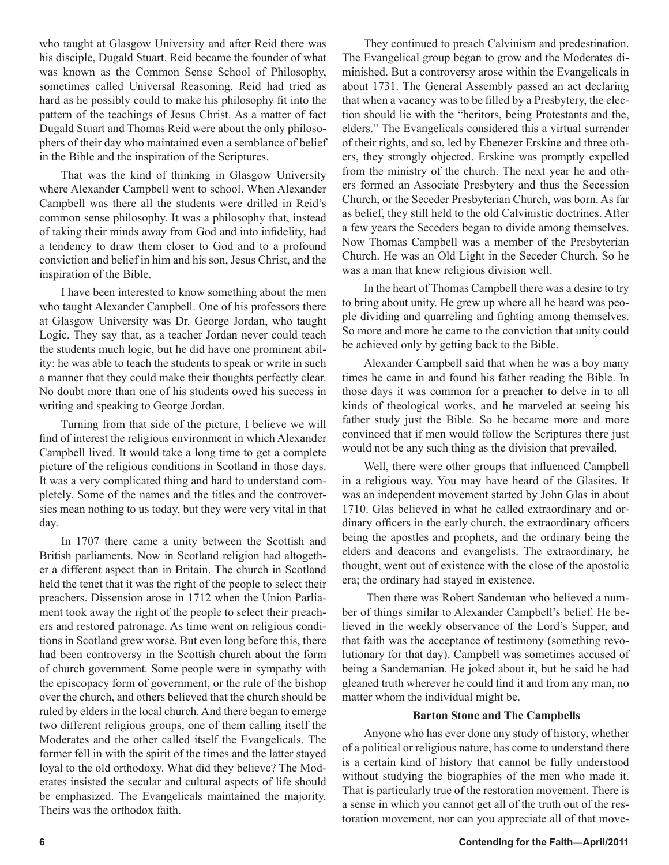who taught at Glasgow University and after Reid there was his disciple, Dugald Stuart. Reid became the founder of what was known as the Common Sense School of Philosophy, sometimes called Universal Reasoning. Reid had tried as hard as he possibly could to make his philosophy fit into the pattern of the teachings of Jesus Christ. As a matter of fact Dugald Stuart and Thomas Reid were about the only philosophers of their day who maintained even a semblance of belief in the Bible and the inspiration of the Scriptures.

That was the kind of thinking in Glasgow University where Alexander Campbell went to school. When Alexander Campbell was there all the students were drilled in Reid's common sense philosophy. It was a philosophy that, instead of taking their minds away from God and into infidelity, had a tendency to draw them closer to God and to a profound conviction and belief in him and his son, Jesus Christ, and the inspiration of the Bible.

I have been interested to know something about the men who taught Alexander Campbell. One of his professors there at Glasgow University was Dr. George Jordan, who taught Logic. They say that, as a teacher Jordan never could teach the students much logic, but he did have one prominent ability: he was able to teach the students to speak or write in such a manner that they could make their thoughts perfectly clear. No doubt more than one of his students owed his success in writing and speaking to George Jordan.

Turning from that side of the picture, I believe we will find of interest the religious environment in which Alexander Campbell lived. It would take a long time to get a complete picture of the religious conditions in Scotland in those days. It was a very complicated thing and hard to understand completely. Some of the names and the titles and the controversies mean nothing to us today, but they were very vital in that day.

In 1707 there came a unity between the Scottish and British parliaments. Now in Scotland religion had altogether a different aspect than in Britain. The church in Scotland held the tenet that it was the right of the people to select their preachers. Dissension arose in 1712 when the Union Parliament took away the right of the people to select their preachers and restored patronage. As time went on religious conditions in Scotland grew worse. But even long before this, there had been controversy in the Scottish church about the form of church government. Some people were in sympathy with the episcopacy form of government, or the rule of the bishop over the church, and others believed that the church should be ruled by elders in the local church. And there began to emerge two different religious groups, one of them calling itself the Moderates and the other called itself the Evangelicals. The former fell in with the spirit of the times and the latter stayed loyal to the old orthodoxy. What did they believe? The Moderates insisted the secular and cultural aspects of life should be emphasized. The Evangelicals maintained the majority. Theirs was the orthodox faith.

They continued to preach Calvinism and predestination. The Evangelical group began to grow and the Moderates diminished. But a controversy arose within the Evangelicals in about 1731. The General Assembly passed an act declaring that when a vacancy was to be filled by a Presbytery, the election should lie with the "heritors, being Protestants and the, elders." The Evangelicals considered this a virtual surrender of their rights, and so, led by Ebenezer Erskine and three others, they strongly objected. Erskine was promptly expelled from the ministry of the church. The next year he and others formed an Associate Presbytery and thus the Secession Church, or the Seceder Presbyterian Church, was born. As far as belief, they still held to the old Calvinistic doctrines. After a few years the Seceders began to divide among themselves. Now Thomas Campbell was a member of the Presbyterian Church. He was an Old Light in the Seceder Church. So he was a man that knew religious division well.

In the heart of Thomas Campbell there was a desire to try to bring about unity. He grew up where all he heard was people dividing and quarreling and fighting among themselves. So more and more he came to the conviction that unity could be achieved only by getting back to the Bible.

Alexander Campbell said that when he was a boy many times he came in and found his father reading the Bible. In those days it was common for a preacher to delve in to all kinds of theological works, and he marveled at seeing his father study just the Bible. So he became more and more convinced that if men would follow the Scriptures there just would not be any such thing as the division that prevailed.

Well, there were other groups that influenced Campbell in a religious way. You may have heard of the Glasites. It was an independent movement started by John Glas in about 1710. Glas believed in what he called extraordinary and ordinary officers in the early church, the extraordinary officers being the apostles and prophets, and the ordinary being the elders and deacons and evangelists. The extraordinary, he thought, went out of existence with the close of the apostolic era; the ordinary had stayed in existence.

 Then there was Robert Sandeman who believed a number of things similar to Alexander Campbell's belief. He believed in the weekly observance of the Lord's Supper, and that faith was the acceptance of testimony (something revolutionary for that day). Campbell was sometimes accused of being a Sandemanian. He joked about it, but he said he had gleaned truth wherever he could find it and from any man, no matter whom the individual might be.

#### **Barton Stone and The Campbells**

Anyone who has ever done any study of history, whether of a political or religious nature, has come to understand there is a certain kind of history that cannot be fully understood without studying the biographies of the men who made it. That is particularly true of the restoration movement. There is a sense in which you cannot get all of the truth out of the restoration movement, nor can you appreciate all of that move-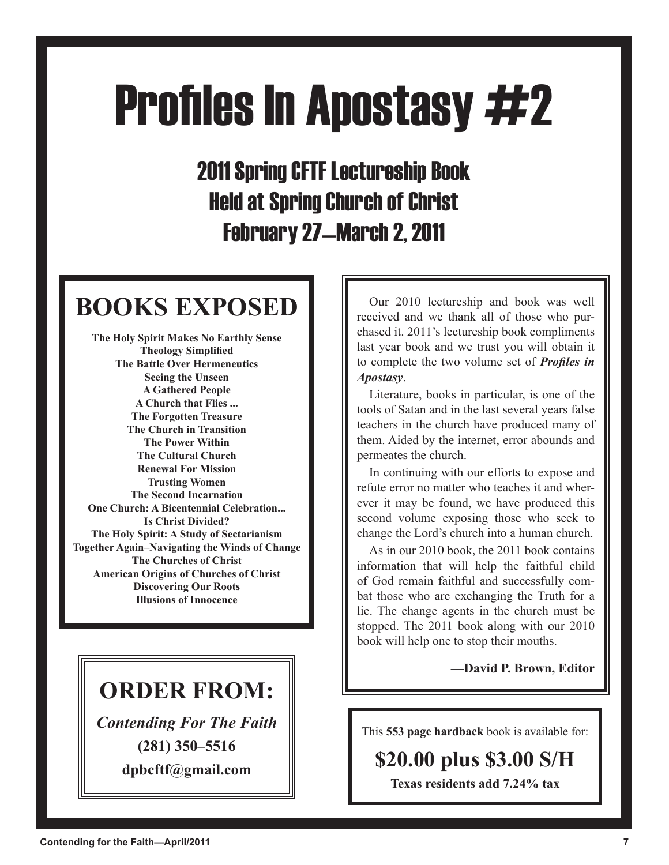# **Profiles In Apostasy #2**

2011 Spring CFTF Lectureship Book Held at Spring Church of Christ February 27—March 2, 2011

# **BOOKS EXPOSED**

**The Holy Spirit Makes No Earthly Sense Theology Simplified The Battle Over Hermeneutics Seeing the Unseen A Gathered People A Church that Flies ... The Forgotten Treasure The Church in Transition The Power Within The Cultural Church Renewal For Mission Trusting Women The Second Incarnation One Church: A Bicentennial Celebration... Is Christ Divided? The Holy Spirit: A Study of Sectarianism Together Again–Navigating the Winds of Change The Churches of Christ American Origins of Churches of Christ Discovering Our Roots Illusions of Innocence**

# **ORDER FROM:**

*Contending For The Faith* **(281) 350–5516**

**dpbcftf@gmail.com**

Our 2010 lectureship and book was well received and we thank all of those who purchased it. 2011's lectureship book compliments last year book and we trust you will obtain it to complete the two volume set of *Profiles in Apostasy*.

Literature, books in particular, is one of the tools of Satan and in the last several years false teachers in the church have produced many of them. Aided by the internet, error abounds and permeates the church.

In continuing with our efforts to expose and refute error no matter who teaches it and wherever it may be found, we have produced this second volume exposing those who seek to change the Lord's church into a human church.

As in our 2010 book, the 2011 book contains information that will help the faithful child of God remain faithful and successfully combat those who are exchanging the Truth for a lie. The change agents in the church must be stopped. The 2011 book along with our 2010 book will help one to stop their mouths.

**—David P. Brown, Editor**

This **553 page hardback** book is available for:

# **\$20.00 plus \$3.00 S/H**

**Texas residents add 7.24% tax**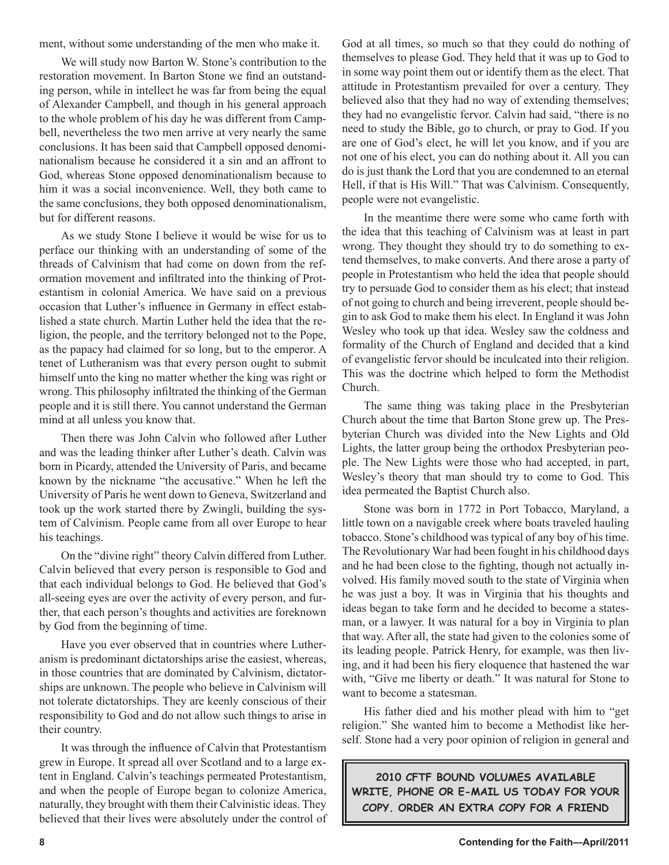ment, without some understanding of the men who make it.

We will study now Barton W. Stone's contribution to the restoration movement. In Barton Stone we find an outstanding person, while in intellect he was far from being the equal of Alexander Campbell, and though in his general approach to the whole problem of his day he was different from Campbell, nevertheless the two men arrive at very nearly the same conclusions. It has been said that Campbell opposed denominationalism because he considered it a sin and an affront to God, whereas Stone opposed denominationalism because to him it was a social inconvenience. Well, they both came to the same conclusions, they both opposed denominationalism, but for different reasons.

As we study Stone I believe it would be wise for us to perface our thinking with an understanding of some of the threads of Calvinism that had come on down from the reformation movement and infiltrated into the thinking of Protestantism in colonial America. We have said on a previous occasion that Luther's influence in Germany in effect established a state church. Martin Luther held the idea that the religion, the people, and the territory belonged not to the Pope, as the papacy had claimed for so long, but to the emperor. A tenet of Lutheranism was that every person ought to submit himself unto the king no matter whether the king was right or wrong. This philosophy infiltrated the thinking of the German people and it is still there. You cannot understand the German mind at all unless you know that.

Then there was John Calvin who followed after Luther and was the leading thinker after Luther's death. Calvin was born in Picardy, attended the University of Paris, and became known by the nickname "the accusative." When he left the University of Paris he went down to Geneva, Switzerland and took up the work started there by Zwingli, building the system of Calvinism. People came from all over Europe to hear his teachings.

On the "divine right" theory Calvin differed from Luther. Calvin believed that every person is responsible to God and that each individual belongs to God. He believed that God's all-seeing eyes are over the activity of every person, and further, that each person's thoughts and activities are foreknown by God from the beginning of time.

Have you ever observed that in countries where Lutheranism is predominant dictatorships arise the easiest, whereas, in those countries that are dominated by Calvinism, dictatorships are unknown. The people who believe in Calvinism will not tolerate dictatorships. They are keenly conscious of their responsibility to God and do not allow such things to arise in their country.

It was through the influence of Calvin that Protestantism grew in Europe. It spread all over Scotland and to a large extent in England. Calvin's teachings permeated Protestantism, and when the people of Europe began to colonize America, naturally, they brought with them their Calvinistic ideas. They believed that their lives were absolutely under the control of God at all times, so much so that they could do nothing of themselves to please God. They held that it was up to God to in some way point them out or identify them as the elect. That attitude in Protestantism prevailed for over a century. They believed also that they had no way of extending themselves; they had no evangelistic fervor. Calvin had said, "there is no need to study the Bible, go to church, or pray to God. If you are one of God's elect, he will let you know, and if you are not one of his elect, you can do nothing about it. All you can do is just thank the Lord that you are condemned to an eternal Hell, if that is His Will." That was Calvinism. Consequently, people were not evangelistic.

In the meantime there were some who came forth with the idea that this teaching of Calvinism was at least in part wrong. They thought they should try to do something to extend themselves, to make converts. And there arose a party of people in Protestantism who held the idea that people should try to persuade God to consider them as his elect; that instead of not going to church and being irreverent, people should begin to ask God to make them his elect. In England it was John Wesley who took up that idea. Wesley saw the coldness and formality of the Church of England and decided that a kind of evangelistic fervor should be inculcated into their religion. This was the doctrine which helped to form the Methodist Church.

The same thing was taking place in the Presbyterian Church about the time that Barton Stone grew up. The Presbyterian Church was divided into the New Lights and Old Lights, the latter group being the orthodox Presbyterian people. The New Lights were those who had accepted, in part, Wesley's theory that man should try to come to God. This idea permeated the Baptist Church also.

Stone was born in 1772 in Port Tobacco, Maryland, a little town on a navigable creek where boats traveled hauling tobacco. Stone's childhood was typical of any boy of his time. The Revolutionary War had been fought in his childhood days and he had been close to the fighting, though not actually involved. His family moved south to the state of Virginia when he was just a boy. It was in Virginia that his thoughts and ideas began to take form and he decided to become a statesman, or a lawyer. It was natural for a boy in Virginia to plan that way. After all, the state had given to the colonies some of its leading people. Patrick Henry, for example, was then living, and it had been his fiery eloquence that hastened the war with, "Give me liberty or death." It was natural for Stone to want to become a statesman.

His father died and his mother plead with him to "get religion." She wanted him to become a Methodist like herself. Stone had a very poor opinion of religion in general and

**2010 CFTF BOUND VOLUMES AVAILABLE WRITE, PHONE OR E-MAIL US TODAY FOR YOUR COPY. ORDER AN EXTRA COPY FOR A FRIEND**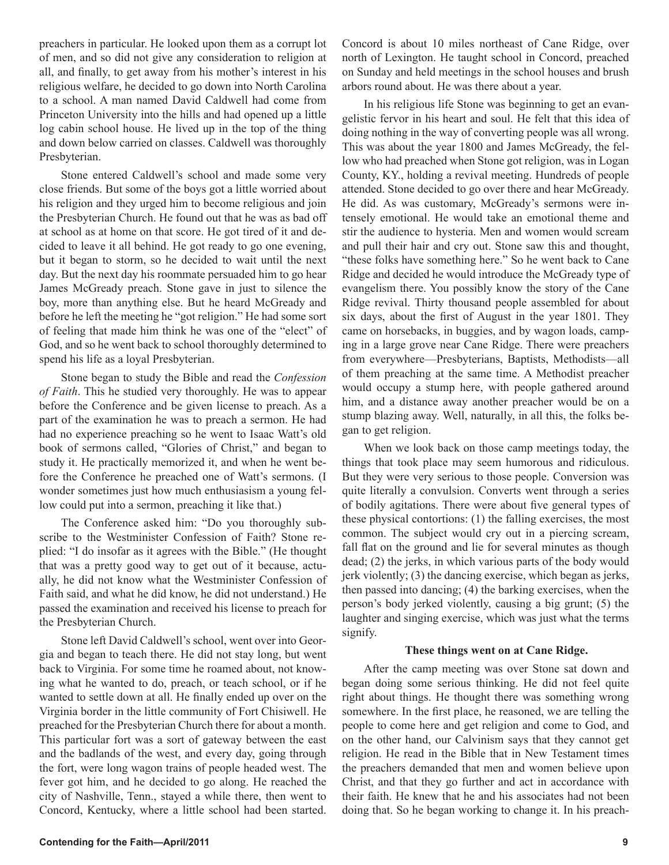preachers in particular. He looked upon them as a corrupt lot of men, and so did not give any consideration to religion at all, and finally, to get away from his mother's interest in his religious welfare, he decided to go down into North Carolina to a school. A man named David Caldwell had come from Princeton University into the hills and had opened up a little log cabin school house. He lived up in the top of the thing and down below carried on classes. Caldwell was thoroughly Presbyterian.

Stone entered Caldwell's school and made some very close friends. But some of the boys got a little worried about his religion and they urged him to become religious and join the Presbyterian Church. He found out that he was as bad off at school as at home on that score. He got tired of it and decided to leave it all behind. He got ready to go one evening, but it began to storm, so he decided to wait until the next day. But the next day his roommate persuaded him to go hear James McGready preach. Stone gave in just to silence the boy, more than anything else. But he heard McGready and before he left the meeting he "got religion." He had some sort of feeling that made him think he was one of the "elect" of God, and so he went back to school thoroughly determined to spend his life as a loyal Presbyterian.

Stone began to study the Bible and read the *Confession of Faith*. This he studied very thoroughly. He was to appear before the Conference and be given license to preach. As a part of the examination he was to preach a sermon. He had had no experience preaching so he went to Isaac Watt's old book of sermons called, "Glories of Christ," and began to study it. He practically memorized it, and when he went before the Conference he preached one of Watt's sermons. (I wonder sometimes just how much enthusiasism a young fellow could put into a sermon, preaching it like that.)

The Conference asked him: "Do you thoroughly subscribe to the Westminister Confession of Faith? Stone replied: "I do insofar as it agrees with the Bible." (He thought that was a pretty good way to get out of it because, actually, he did not know what the Westminister Confession of Faith said, and what he did know, he did not understand.) He passed the examination and received his license to preach for the Presbyterian Church.

Stone left David Caldwell's school, went over into Georgia and began to teach there. He did not stay long, but went back to Virginia. For some time he roamed about, not knowing what he wanted to do, preach, or teach school, or if he wanted to settle down at all. He finally ended up over on the Virginia border in the little community of Fort Chisiwell. He preached for the Presbyterian Church there for about a month. This particular fort was a sort of gateway between the east and the badlands of the west, and every day, going through the fort, were long wagon trains of people headed west. The fever got him, and he decided to go along. He reached the city of Nashville, Tenn., stayed a while there, then went to Concord, Kentucky, where a little school had been started.

Concord is about 10 miles northeast of Cane Ridge, over north of Lexington. He taught school in Concord, preached on Sunday and held meetings in the school houses and brush arbors round about. He was there about a year.

In his religious life Stone was beginning to get an evangelistic fervor in his heart and soul. He felt that this idea of doing nothing in the way of converting people was all wrong. This was about the year 1800 and James McGready, the fellow who had preached when Stone got religion, was in Logan County, KY., holding a revival meeting. Hundreds of people attended. Stone decided to go over there and hear McGready. He did. As was customary, McGready's sermons were intensely emotional. He would take an emotional theme and stir the audience to hysteria. Men and women would scream and pull their hair and cry out. Stone saw this and thought, "these folks have something here." So he went back to Cane Ridge and decided he would introduce the McGready type of evangelism there. You possibly know the story of the Cane Ridge revival. Thirty thousand people assembled for about six days, about the first of August in the year 1801. They came on horsebacks, in buggies, and by wagon loads, camping in a large grove near Cane Ridge. There were preachers from everywhere—Presbyterians, Baptists, Methodists—all of them preaching at the same time. A Methodist preacher would occupy a stump here, with people gathered around him, and a distance away another preacher would be on a stump blazing away. Well, naturally, in all this, the folks began to get religion.

When we look back on those camp meetings today, the things that took place may seem humorous and ridiculous. But they were very serious to those people. Conversion was quite literally a convulsion. Converts went through a series of bodily agitations. There were about five general types of these physical contortions: (1) the falling exercises, the most common. The subject would cry out in a piercing scream, fall flat on the ground and lie for several minutes as though dead; (2) the jerks, in which various parts of the body would jerk violently; (3) the dancing exercise, which began as jerks, then passed into dancing; (4) the barking exercises, when the person's body jerked violently, causing a big grunt; (5) the laughter and singing exercise, which was just what the terms signify.

#### **These things went on at Cane Ridge.**

After the camp meeting was over Stone sat down and began doing some serious thinking. He did not feel quite right about things. He thought there was something wrong somewhere. In the first place, he reasoned, we are telling the people to come here and get religion and come to God, and on the other hand, our Calvinism says that they cannot get religion. He read in the Bible that in New Testament times the preachers demanded that men and women believe upon Christ, and that they go further and act in accordance with their faith. He knew that he and his associates had not been doing that. So he began working to change it. In his preach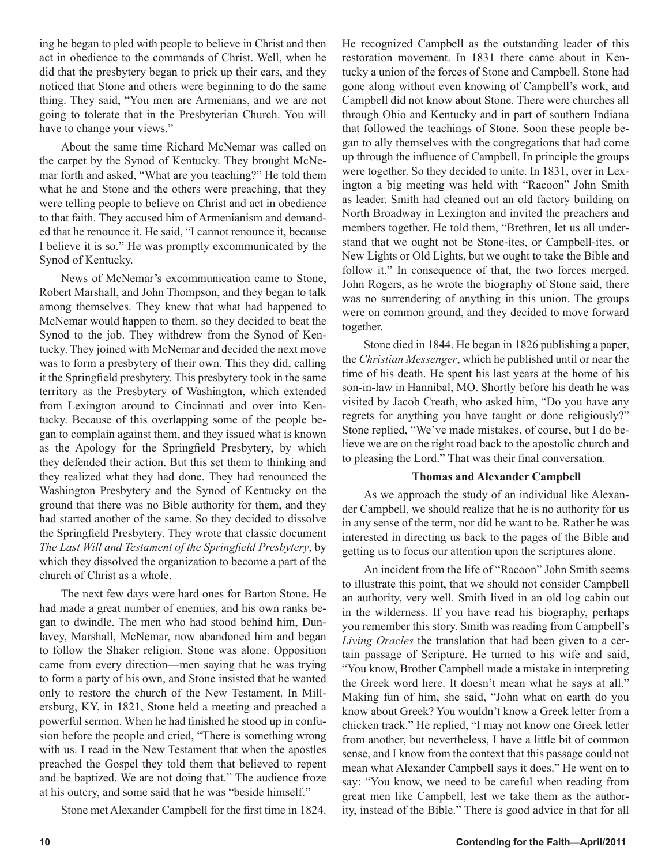ing he began to pled with people to believe in Christ and then act in obedience to the commands of Christ. Well, when he did that the presbytery began to prick up their ears, and they noticed that Stone and others were beginning to do the same thing. They said, "You men are Armenians, and we are not going to tolerate that in the Presbyterian Church. You will have to change your views."

About the same time Richard McNemar was called on the carpet by the Synod of Kentucky. They brought McNemar forth and asked, "What are you teaching?" He told them what he and Stone and the others were preaching, that they were telling people to believe on Christ and act in obedience to that faith. They accused him of Armenianism and demanded that he renounce it. He said, "I cannot renounce it, because I believe it is so." He was promptly excommunicated by the Synod of Kentucky.

News of McNemar's excommunication came to Stone, Robert Marshall, and John Thompson, and they began to talk among themselves. They knew that what had happened to McNemar would happen to them, so they decided to beat the Synod to the job. They withdrew from the Synod of Kentucky. They joined with McNemar and decided the next move was to form a presbytery of their own. This they did, calling it the Springfield presbytery. This presbytery took in the same territory as the Presbytery of Washington, which extended from Lexington around to Cincinnati and over into Kentucky. Because of this overlapping some of the people began to complain against them, and they issued what is known as the Apology for the Springfield Presbytery, by which they defended their action. But this set them to thinking and they realized what they had done. They had renounced the Washington Presbytery and the Synod of Kentucky on the ground that there was no Bible authority for them, and they had started another of the same. So they decided to dissolve the Springfield Presbytery. They wrote that classic document *The Last Will and Testament of the Springfield Presbytery*, by which they dissolved the organization to become a part of the church of Christ as a whole.

The next few days were hard ones for Barton Stone. He had made a great number of enemies, and his own ranks began to dwindle. The men who had stood behind him, Dunlavey, Marshall, McNemar, now abandoned him and began to follow the Shaker religion. Stone was alone. Opposition came from every direction—men saying that he was trying to form a party of his own, and Stone insisted that he wanted only to restore the church of the New Testament. In Millersburg, KY, in 1821, Stone held a meeting and preached a powerful sermon. When he had finished he stood up in confusion before the people and cried, "There is something wrong with us. I read in the New Testament that when the apostles preached the Gospel they told them that believed to repent and be baptized. We are not doing that." The audience froze at his outcry, and some said that he was "beside himself."

Stone met Alexander Campbell for the first time in 1824.

He recognized Campbell as the outstanding leader of this restoration movement. In 1831 there came about in Kentucky a union of the forces of Stone and Campbell. Stone had gone along without even knowing of Campbell's work, and Campbell did not know about Stone. There were churches all through Ohio and Kentucky and in part of southern Indiana that followed the teachings of Stone. Soon these people began to ally themselves with the congregations that had come up through the influence of Campbell. In principle the groups were together. So they decided to unite. In 1831, over in Lexington a big meeting was held with "Racoon" John Smith as leader. Smith had cleaned out an old factory building on North Broadway in Lexington and invited the preachers and members together. He told them, "Brethren, let us all understand that we ought not be Stone-ites, or Campbell-ites, or New Lights or Old Lights, but we ought to take the Bible and follow it." In consequence of that, the two forces merged. John Rogers, as he wrote the biography of Stone said, there was no surrendering of anything in this union. The groups were on common ground, and they decided to move forward together.

Stone died in 1844. He began in 1826 publishing a paper, the *Christian Messenger*, which he published until or near the time of his death. He spent his last years at the home of his son-in-law in Hannibal, MO. Shortly before his death he was visited by Jacob Creath, who asked him, "Do you have any regrets for anything you have taught or done religiously?" Stone replied, "We've made mistakes, of course, but I do believe we are on the right road back to the apostolic church and to pleasing the Lord." That was their final conversation.

#### **Thomas and Alexander Campbell**

As we approach the study of an individual like Alexander Campbell, we should realize that he is no authority for us in any sense of the term, nor did he want to be. Rather he was interested in directing us back to the pages of the Bible and getting us to focus our attention upon the scriptures alone.

An incident from the life of "Racoon" John Smith seems to illustrate this point, that we should not consider Campbell an authority, very well. Smith lived in an old log cabin out in the wilderness. If you have read his biography, perhaps you remember this story. Smith was reading from Campbell's *Living Oracles* the translation that had been given to a certain passage of Scripture. He turned to his wife and said, "You know, Brother Campbell made a mistake in interpreting the Greek word here. It doesn't mean what he says at all." Making fun of him, she said, "John what on earth do you know about Greek? You wouldn't know a Greek letter from a chicken track." He replied, "I may not know one Greek letter from another, but nevertheless, I have a little bit of common sense, and I know from the context that this passage could not mean what Alexander Campbell says it does." He went on to say: "You know, we need to be careful when reading from great men like Campbell, lest we take them as the authority, instead of the Bible." There is good advice in that for all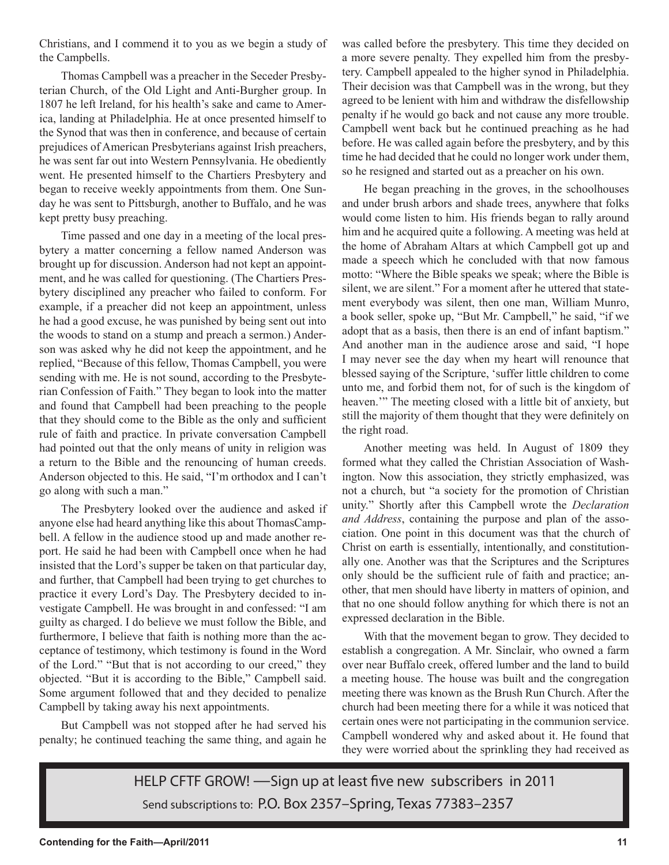Christians, and I commend it to you as we begin a study of the Campbells.

Thomas Campbell was a preacher in the Seceder Presbyterian Church, of the Old Light and Anti-Burgher group. In 1807 he left Ireland, for his health's sake and came to America, landing at Philadelphia. He at once presented himself to the Synod that was then in conference, and because of certain prejudices of American Presbyterians against Irish preachers, he was sent far out into Western Pennsylvania. He obediently went. He presented himself to the Chartiers Presbytery and began to receive weekly appointments from them. One Sunday he was sent to Pittsburgh, another to Buffalo, and he was kept pretty busy preaching.

Time passed and one day in a meeting of the local presbytery a matter concerning a fellow named Anderson was brought up for discussion. Anderson had not kept an appointment, and he was called for questioning. (The Chartiers Presbytery disciplined any preacher who failed to conform. For example, if a preacher did not keep an appointment, unless he had a good excuse, he was punished by being sent out into the woods to stand on a stump and preach a sermon.) Anderson was asked why he did not keep the appointment, and he replied, "Because of this fellow, Thomas Campbell, you were sending with me. He is not sound, according to the Presbyterian Confession of Faith." They began to look into the matter and found that Campbell had been preaching to the people that they should come to the Bible as the only and sufficient rule of faith and practice. In private conversation Campbell had pointed out that the only means of unity in religion was a return to the Bible and the renouncing of human creeds. Anderson objected to this. He said, "I'm orthodox and I can't go along with such a man."

The Presbytery looked over the audience and asked if anyone else had heard anything like this about ThomasCampbell. A fellow in the audience stood up and made another report. He said he had been with Campbell once when he had insisted that the Lord's supper be taken on that particular day, and further, that Campbell had been trying to get churches to practice it every Lord's Day. The Presbytery decided to investigate Campbell. He was brought in and confessed: "I am guilty as charged. I do believe we must follow the Bible, and furthermore, I believe that faith is nothing more than the acceptance of testimony, which testimony is found in the Word of the Lord." "But that is not according to our creed," they objected. "But it is according to the Bible," Campbell said. Some argument followed that and they decided to penalize Campbell by taking away his next appointments.

But Campbell was not stopped after he had served his penalty; he continued teaching the same thing, and again he was called before the presbytery. This time they decided on a more severe penalty. They expelled him from the presbytery. Campbell appealed to the higher synod in Philadelphia. Their decision was that Campbell was in the wrong, but they agreed to be lenient with him and withdraw the disfellowship penalty if he would go back and not cause any more trouble. Campbell went back but he continued preaching as he had before. He was called again before the presbytery, and by this time he had decided that he could no longer work under them, so he resigned and started out as a preacher on his own.

He began preaching in the groves, in the schoolhouses and under brush arbors and shade trees, anywhere that folks would come listen to him. His friends began to rally around him and he acquired quite a following. A meeting was held at the home of Abraham Altars at which Campbell got up and made a speech which he concluded with that now famous motto: "Where the Bible speaks we speak; where the Bible is silent, we are silent." For a moment after he uttered that statement everybody was silent, then one man, William Munro, a book seller, spoke up, "But Mr. Campbell," he said, "if we adopt that as a basis, then there is an end of infant baptism." And another man in the audience arose and said, "I hope I may never see the day when my heart will renounce that blessed saying of the Scripture, 'suffer little children to come unto me, and forbid them not, for of such is the kingdom of heaven.'" The meeting closed with a little bit of anxiety, but still the majority of them thought that they were definitely on the right road.

Another meeting was held. In August of 1809 they formed what they called the Christian Association of Washington. Now this association, they strictly emphasized, was not a church, but "a society for the promotion of Christian unity." Shortly after this Campbell wrote the *Declaration and Address*, containing the purpose and plan of the association. One point in this document was that the church of Christ on earth is essentially, intentionally, and constitutionally one. Another was that the Scriptures and the Scriptures only should be the sufficient rule of faith and practice; another, that men should have liberty in matters of opinion, and that no one should follow anything for which there is not an expressed declaration in the Bible.

With that the movement began to grow. They decided to establish a congregation. A Mr. Sinclair, who owned a farm over near Buffalo creek, offered lumber and the land to build a meeting house. The house was built and the congregation meeting there was known as the Brush Run Church. After the church had been meeting there for a while it was noticed that certain ones were not participating in the communion service. Campbell wondered why and asked about it. He found that they were worried about the sprinkling they had received as

HELP CFTF GROW! —Sign up at least five new subscribers in 2011 Send subscriptions to: P.O. Box 2357–Spring, Texas 77383–2357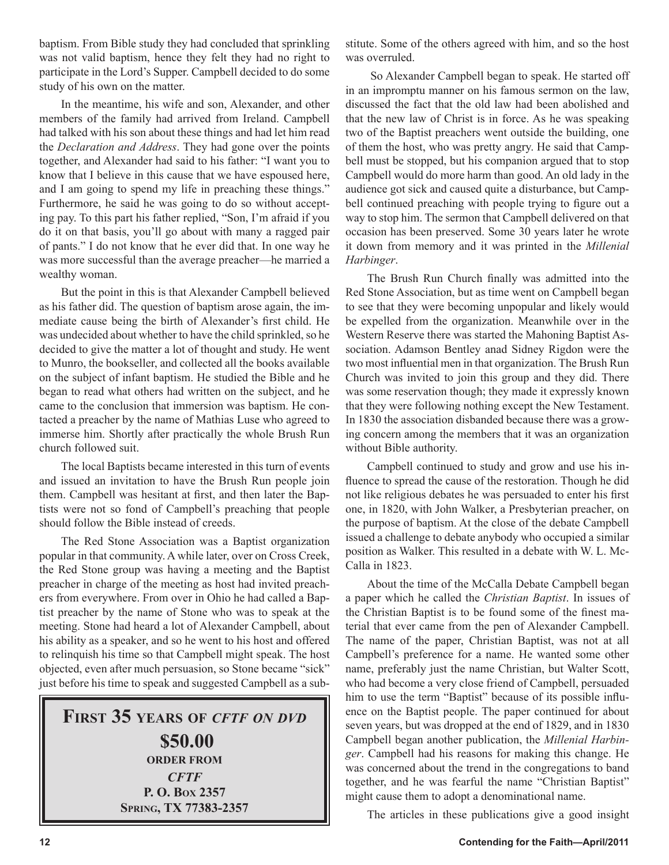baptism. From Bible study they had concluded that sprinkling was not valid baptism, hence they felt they had no right to participate in the Lord's Supper. Campbell decided to do some study of his own on the matter.

In the meantime, his wife and son, Alexander, and other members of the family had arrived from Ireland. Campbell had talked with his son about these things and had let him read the *Declaration and Address*. They had gone over the points together, and Alexander had said to his father: "I want you to know that I believe in this cause that we have espoused here, and I am going to spend my life in preaching these things." Furthermore, he said he was going to do so without accepting pay. To this part his father replied, "Son, I'm afraid if you do it on that basis, you'll go about with many a ragged pair of pants." I do not know that he ever did that. In one way he was more successful than the average preacher—he married a wealthy woman.

But the point in this is that Alexander Campbell believed as his father did. The question of baptism arose again, the immediate cause being the birth of Alexander's first child. He was undecided about whether to have the child sprinkled, so he decided to give the matter a lot of thought and study. He went to Munro, the bookseller, and collected all the books available on the subject of infant baptism. He studied the Bible and he began to read what others had written on the subject, and he came to the conclusion that immersion was baptism. He contacted a preacher by the name of Mathias Luse who agreed to immerse him. Shortly after practically the whole Brush Run church followed suit.

The local Baptists became interested in this turn of events and issued an invitation to have the Brush Run people join them. Campbell was hesitant at first, and then later the Baptists were not so fond of Campbell's preaching that people should follow the Bible instead of creeds.

The Red Stone Association was a Baptist organization popular in that community. A while later, over on Cross Creek, the Red Stone group was having a meeting and the Baptist preacher in charge of the meeting as host had invited preachers from everywhere. From over in Ohio he had called a Baptist preacher by the name of Stone who was to speak at the meeting. Stone had heard a lot of Alexander Campbell, about his ability as a speaker, and so he went to his host and offered to relinquish his time so that Campbell might speak. The host objected, even after much persuasion, so Stone became "sick" just before his time to speak and suggested Campbell as a sub-

### **FIRST 35 YEARS OF** *CFTF ON DVD* **\$50.00 ORDER FROM** *CFTF* **P. O. BOX 2357 SPRING, TX 77383-2357**

stitute. Some of the others agreed with him, and so the host was overruled.

 So Alexander Campbell began to speak. He started off in an impromptu manner on his famous sermon on the law, discussed the fact that the old law had been abolished and that the new law of Christ is in force. As he was speaking two of the Baptist preachers went outside the building, one of them the host, who was pretty angry. He said that Campbell must be stopped, but his companion argued that to stop Campbell would do more harm than good. An old lady in the audience got sick and caused quite a disturbance, but Campbell continued preaching with people trying to figure out a way to stop him. The sermon that Campbell delivered on that occasion has been preserved. Some 30 years later he wrote it down from memory and it was printed in the *Millenial Harbinger*.

The Brush Run Church finally was admitted into the Red Stone Association, but as time went on Campbell began to see that they were becoming unpopular and likely would be expelled from the organization. Meanwhile over in the Western Reserve there was started the Mahoning Baptist Association. Adamson Bentley anad Sidney Rigdon were the two most influential men in that organization. The Brush Run Church was invited to join this group and they did. There was some reservation though; they made it expressly known that they were following nothing except the New Testament. In 1830 the association disbanded because there was a growing concern among the members that it was an organization without Bible authority.

Campbell continued to study and grow and use his influence to spread the cause of the restoration. Though he did not like religious debates he was persuaded to enter his first one, in 1820, with John Walker, a Presbyterian preacher, on the purpose of baptism. At the close of the debate Campbell issued a challenge to debate anybody who occupied a similar position as Walker. This resulted in a debate with W. L. Mc-Calla in 1823.

About the time of the McCalla Debate Campbell began a paper which he called the *Christian Baptist*. In issues of the Christian Baptist is to be found some of the finest material that ever came from the pen of Alexander Campbell. The name of the paper, Christian Baptist, was not at all Campbell's preference for a name. He wanted some other name, preferably just the name Christian, but Walter Scott, who had become a very close friend of Campbell, persuaded him to use the term "Baptist" because of its possible influence on the Baptist people. The paper continued for about seven years, but was dropped at the end of 1829, and in 1830 Campbell began another publication, the *Millenial Harbinger*. Campbell had his reasons for making this change. He was concerned about the trend in the congregations to band together, and he was fearful the name "Christian Baptist" might cause them to adopt a denominational name.

The articles in these publications give a good insight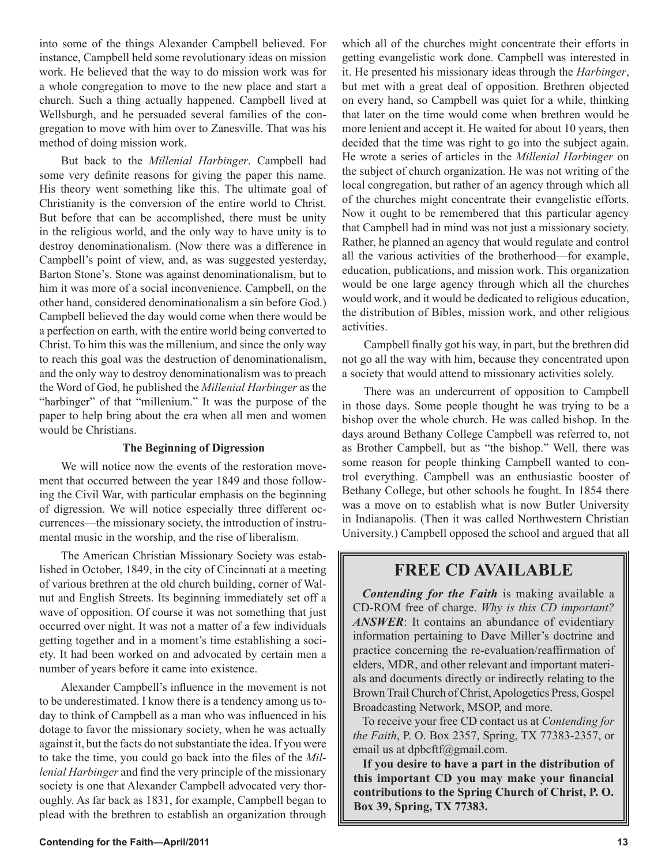into some of the things Alexander Campbell believed. For instance, Campbell held some revolutionary ideas on mission work. He believed that the way to do mission work was for a whole congregation to move to the new place and start a church. Such a thing actually happened. Campbell lived at Wellsburgh, and he persuaded several families of the congregation to move with him over to Zanesville. That was his method of doing mission work.

But back to the *Millenial Harbinger*. Campbell had some very definite reasons for giving the paper this name. His theory went something like this. The ultimate goal of Christianity is the conversion of the entire world to Christ. But before that can be accomplished, there must be unity in the religious world, and the only way to have unity is to destroy denominationalism. (Now there was a difference in Campbell's point of view, and, as was suggested yesterday, Barton Stone's. Stone was against denominationalism, but to him it was more of a social inconvenience. Campbell, on the other hand, considered denominationalism a sin before God.) Campbell believed the day would come when there would be a perfection on earth, with the entire world being converted to Christ. To him this was the millenium, and since the only way to reach this goal was the destruction of denominationalism, and the only way to destroy denominationalism was to preach the Word of God, he published the *Millenial Harbinger* as the "harbinger" of that "millenium." It was the purpose of the paper to help bring about the era when all men and women would be Christians.

#### **The Beginning of Digression**

We will notice now the events of the restoration movement that occurred between the year 1849 and those following the Civil War, with particular emphasis on the beginning of digression. We will notice especially three different occurrences—the missionary society, the introduction of instrumental music in the worship, and the rise of liberalism.

The American Christian Missionary Society was established in October, 1849, in the city of Cincinnati at a meeting of various brethren at the old church building, corner of Walnut and English Streets. Its beginning immediately set off a wave of opposition. Of course it was not something that just occurred over night. It was not a matter of a few individuals getting together and in a moment's time establishing a society. It had been worked on and advocated by certain men a number of years before it came into existence.

Alexander Campbell's influence in the movement is not to be underestimated. I know there is a tendency among us today to think of Campbell as a man who was influenced in his dotage to favor the missionary society, when he was actually against it, but the facts do not substantiate the idea. If you were to take the time, you could go back into the files of the *Millenial Harbinger* and find the very principle of the missionary society is one that Alexander Campbell advocated very thoroughly. As far back as 1831, for example, Campbell began to plead with the brethren to establish an organization through which all of the churches might concentrate their efforts in getting evangelistic work done. Campbell was interested in it. He presented his missionary ideas through the *Harbinger*, but met with a great deal of opposition. Brethren objected on every hand, so Campbell was quiet for a while, thinking that later on the time would come when brethren would be more lenient and accept it. He waited for about 10 years, then decided that the time was right to go into the subject again. He wrote a series of articles in the *Millenial Harbinger* on the subject of church organization. He was not writing of the local congregation, but rather of an agency through which all of the churches might concentrate their evangelistic efforts. Now it ought to be remembered that this particular agency that Campbell had in mind was not just a missionary society. Rather, he planned an agency that would regulate and control all the various activities of the brotherhood—for example, education, publications, and mission work. This organization would be one large agency through which all the churches would work, and it would be dedicated to religious education, the distribution of Bibles, mission work, and other religious activities.

Campbell finally got his way, in part, but the brethren did not go all the way with him, because they concentrated upon a society that would attend to missionary activities solely.

There was an undercurrent of opposition to Campbell in those days. Some people thought he was trying to be a bishop over the whole church. He was called bishop. In the days around Bethany College Campbell was referred to, not as Brother Campbell, but as "the bishop." Well, there was some reason for people thinking Campbell wanted to control everything. Campbell was an enthusiastic booster of Bethany College, but other schools he fought. In 1854 there was a move on to establish what is now Butler University in Indianapolis. (Then it was called Northwestern Christian University.) Campbell opposed the school and argued that all

#### **FREE CD AVAILABLE**

*Contending for the Faith* is making available a CD-ROM free of charge. *Why is this CD important? ANSWER*: It contains an abundance of evidentiary information pertaining to Dave Miller's doctrine and practice concerning the re-evaluation/reaffirmation of elders, MDR, and other relevant and important materials and documents directly or indirectly relating to the Brown Trail Church of Christ, Apologetics Press, Gospel Broadcasting Network, MSOP, and more.

To receive your free CD contact us at *Contending for the Faith*, P. O. Box 2357, Spring, TX 77383-2357, or email us at dpbcftf@gmail.com.

**If you desire to have a part in the distribution of this important CD you may make your financial contributions to the Spring Church of Christ, P. O. Box 39, Spring, TX 77383.**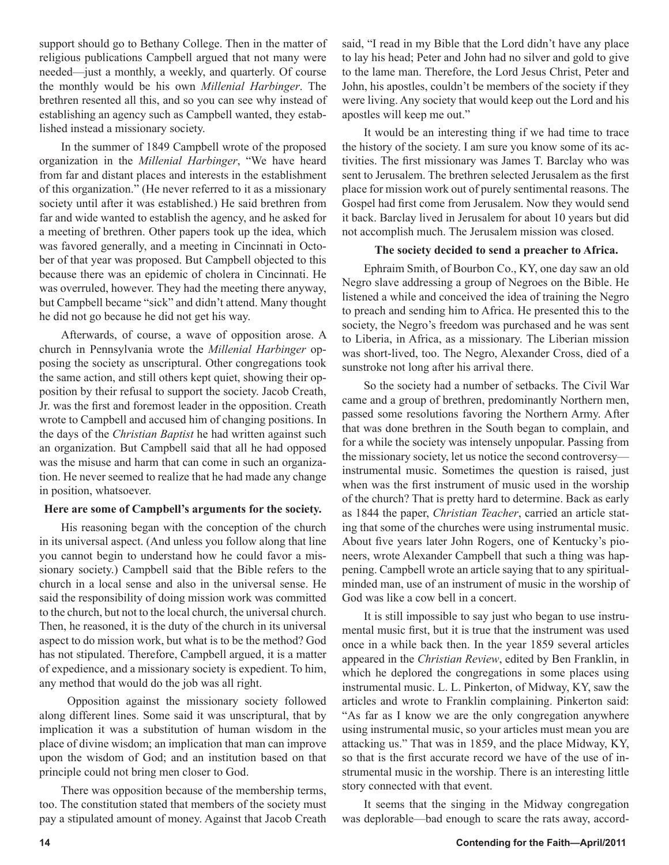support should go to Bethany College. Then in the matter of religious publications Campbell argued that not many were needed—just a monthly, a weekly, and quarterly. Of course the monthly would be his own *Millenial Harbinger*. The brethren resented all this, and so you can see why instead of establishing an agency such as Campbell wanted, they established instead a missionary society.

In the summer of 1849 Campbell wrote of the proposed organization in the *Millenial Harbinger*, "We have heard from far and distant places and interests in the establishment of this organization." (He never referred to it as a missionary society until after it was established.) He said brethren from far and wide wanted to establish the agency, and he asked for a meeting of brethren. Other papers took up the idea, which was favored generally, and a meeting in Cincinnati in October of that year was proposed. But Campbell objected to this because there was an epidemic of cholera in Cincinnati. He was overruled, however. They had the meeting there anyway, but Campbell became "sick" and didn't attend. Many thought he did not go because he did not get his way.

Afterwards, of course, a wave of opposition arose. A church in Pennsylvania wrote the *Millenial Harbinger* opposing the society as unscriptural. Other congregations took the same action, and still others kept quiet, showing their opposition by their refusal to support the society. Jacob Creath, Jr. was the first and foremost leader in the opposition. Creath wrote to Campbell and accused him of changing positions. In the days of the *Christian Baptist* he had written against such an organization. But Campbell said that all he had opposed was the misuse and harm that can come in such an organization. He never seemed to realize that he had made any change in position, whatsoever.

#### **Here are some of Campbell's arguments for the society.**

His reasoning began with the conception of the church in its universal aspect. (And unless you follow along that line you cannot begin to understand how he could favor a missionary society.) Campbell said that the Bible refers to the church in a local sense and also in the universal sense. He said the responsibility of doing mission work was committed to the church, but not to the local church, the universal church. Then, he reasoned, it is the duty of the church in its universal aspect to do mission work, but what is to be the method? God has not stipulated. Therefore, Campbell argued, it is a matter of expedience, and a missionary society is expedient. To him, any method that would do the job was all right.

 Opposition against the missionary society followed along different lines. Some said it was unscriptural, that by implication it was a substitution of human wisdom in the place of divine wisdom; an implication that man can improve upon the wisdom of God; and an institution based on that principle could not bring men closer to God.

There was opposition because of the membership terms, too. The constitution stated that members of the society must pay a stipulated amount of money. Against that Jacob Creath

said, "I read in my Bible that the Lord didn't have any place to lay his head; Peter and John had no silver and gold to give to the lame man. Therefore, the Lord Jesus Christ, Peter and John, his apostles, couldn't be members of the society if they were living. Any society that would keep out the Lord and his apostles will keep me out."

It would be an interesting thing if we had time to trace the history of the society. I am sure you know some of its activities. The first missionary was James T. Barclay who was sent to Jerusalem. The brethren selected Jerusalem as the first place for mission work out of purely sentimental reasons. The Gospel had first come from Jerusalem. Now they would send it back. Barclay lived in Jerusalem for about 10 years but did not accomplish much. The Jerusalem mission was closed.

#### **The society decided to send a preacher to Africa.**

Ephraim Smith, of Bourbon Co., KY, one day saw an old Negro slave addressing a group of Negroes on the Bible. He listened a while and conceived the idea of training the Negro to preach and sending him to Africa. He presented this to the society, the Negro's freedom was purchased and he was sent to Liberia, in Africa, as a missionary. The Liberian mission was short-lived, too. The Negro, Alexander Cross, died of a sunstroke not long after his arrival there.

So the society had a number of setbacks. The Civil War came and a group of brethren, predominantly Northern men, passed some resolutions favoring the Northern Army. After that was done brethren in the South began to complain, and for a while the society was intensely unpopular. Passing from the missionary society, let us notice the second controversy instrumental music. Sometimes the question is raised, just when was the first instrument of music used in the worship of the church? That is pretty hard to determine. Back as early as 1844 the paper, *Christian Teacher*, carried an article stating that some of the churches were using instrumental music. About five years later John Rogers, one of Kentucky's pioneers, wrote Alexander Campbell that such a thing was happening. Campbell wrote an article saying that to any spiritualminded man, use of an instrument of music in the worship of God was like a cow bell in a concert.

It is still impossible to say just who began to use instrumental music first, but it is true that the instrument was used once in a while back then. In the year 1859 several articles appeared in the *Christian Review*, edited by Ben Franklin, in which he deplored the congregations in some places using instrumental music. L. L. Pinkerton, of Midway, KY, saw the articles and wrote to Franklin complaining. Pinkerton said: "As far as I know we are the only congregation anywhere using instrumental music, so your articles must mean you are attacking us." That was in 1859, and the place Midway, KY, so that is the first accurate record we have of the use of instrumental music in the worship. There is an interesting little story connected with that event.

It seems that the singing in the Midway congregation was deplorable—bad enough to scare the rats away, accord-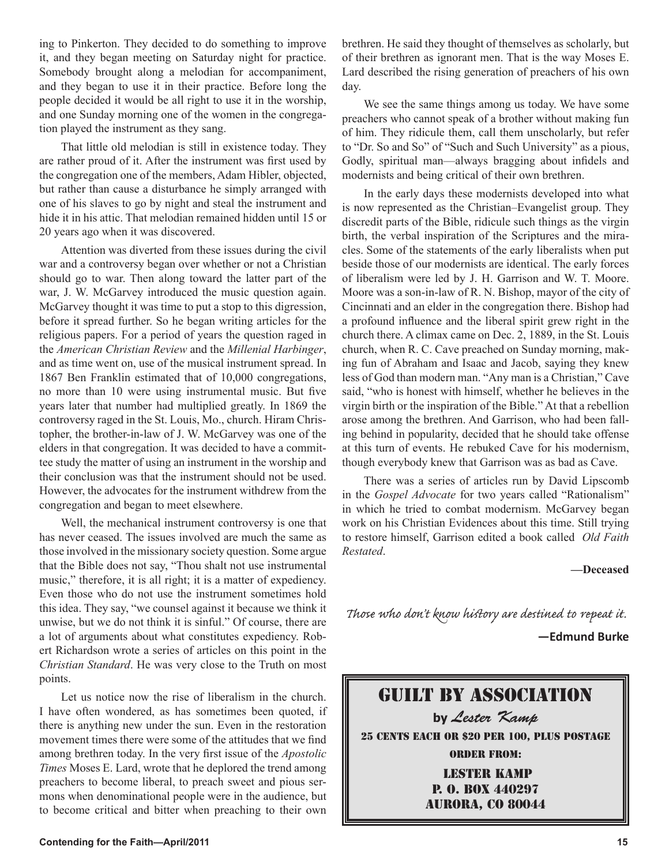ing to Pinkerton. They decided to do something to improve it, and they began meeting on Saturday night for practice. Somebody brought along a melodian for accompaniment, and they began to use it in their practice. Before long the people decided it would be all right to use it in the worship, and one Sunday morning one of the women in the congregation played the instrument as they sang.

That little old melodian is still in existence today. They are rather proud of it. After the instrument was first used by the congregation one of the members, Adam Hibler, objected, but rather than cause a disturbance he simply arranged with one of his slaves to go by night and steal the instrument and hide it in his attic. That melodian remained hidden until 15 or 20 years ago when it was discovered.

Attention was diverted from these issues during the civil war and a controversy began over whether or not a Christian should go to war. Then along toward the latter part of the war, J. W. McGarvey introduced the music question again. McGarvey thought it was time to put a stop to this digression, before it spread further. So he began writing articles for the religious papers. For a period of years the question raged in the *American Christian Review* and the *Millenial Harbinger*, and as time went on, use of the musical instrument spread. In 1867 Ben Franklin estimated that of 10,000 congregations, no more than 10 were using instrumental music. But five years later that number had multiplied greatly. In 1869 the controversy raged in the St. Louis, Mo., church. Hiram Christopher, the brother-in-law of J. W. McGarvey was one of the elders in that congregation. It was decided to have a committee study the matter of using an instrument in the worship and their conclusion was that the instrument should not be used. However, the advocates for the instrument withdrew from the congregation and began to meet elsewhere.

Well, the mechanical instrument controversy is one that has never ceased. The issues involved are much the same as those involved in the missionary society question. Some argue that the Bible does not say, "Thou shalt not use instrumental music," therefore, it is all right; it is a matter of expediency. Even those who do not use the instrument sometimes hold this idea. They say, "we counsel against it because we think it unwise, but we do not think it is sinful." Of course, there are a lot of arguments about what constitutes expediency. Robert Richardson wrote a series of articles on this point in the *Christian Standard*. He was very close to the Truth on most points.

Let us notice now the rise of liberalism in the church. I have often wondered, as has sometimes been quoted, if there is anything new under the sun. Even in the restoration movement times there were some of the attitudes that we find among brethren today. In the very first issue of the *Apostolic Times* Moses E. Lard, wrote that he deplored the trend among preachers to become liberal, to preach sweet and pious sermons when denominational people were in the audience, but to become critical and bitter when preaching to their own brethren. He said they thought of themselves as scholarly, but of their brethren as ignorant men. That is the way Moses E. Lard described the rising generation of preachers of his own day.

We see the same things among us today. We have some preachers who cannot speak of a brother without making fun of him. They ridicule them, call them unscholarly, but refer to "Dr. So and So" of "Such and Such University" as a pious, Godly, spiritual man—always bragging about infidels and modernists and being critical of their own brethren.

In the early days these modernists developed into what is now represented as the Christian–Evangelist group. They discredit parts of the Bible, ridicule such things as the virgin birth, the verbal inspiration of the Scriptures and the miracles. Some of the statements of the early liberalists when put beside those of our modernists are identical. The early forces of liberalism were led by J. H. Garrison and W. T. Moore. Moore was a son-in-law of R. N. Bishop, mayor of the city of Cincinnati and an elder in the congregation there. Bishop had a profound influence and the liberal spirit grew right in the church there. A climax came on Dec. 2, 1889, in the St. Louis church, when R. C. Cave preached on Sunday morning, making fun of Abraham and Isaac and Jacob, saying they knew less of God than modern man. "Any man is a Christian," Cave said, "who is honest with himself, whether he believes in the virgin birth or the inspiration of the Bible." At that a rebellion arose among the brethren. And Garrison, who had been falling behind in popularity, decided that he should take offense at this turn of events. He rebuked Cave for his modernism, though everybody knew that Garrison was as bad as Cave.

There was a series of articles run by David Lipscomb in the *Gospel Advocate* for two years called "Rationalism" in which he tried to combat modernism. McGarvey began work on his Christian Evidences about this time. Still trying to restore himself, Garrison edited a book called *Old Faith Restated*.

**—Deceased**

Those who don't know history are destined to repeat it.

**—Edmund Burke**

Guilt By Association **by** Lester Kamp 25 CENTS EACH OR \$20 PER 100, PLUS POSTAGE ORDER FROM: lester Kamp P. O. Box 440297 Aurora, Co 80044